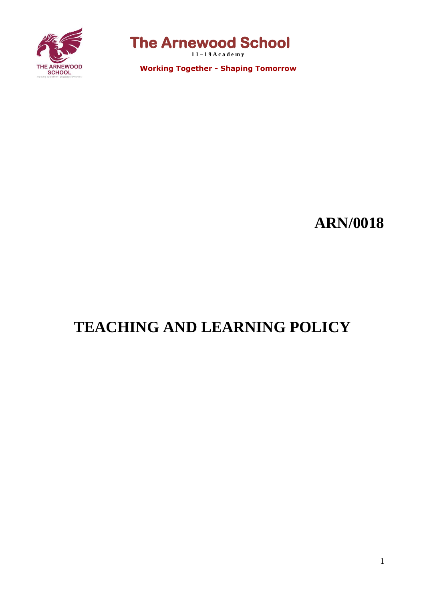

**The Arnewood School** 

**1 1 – 1 9 A c a d e m y**

 **Working Together - Shaping Tomorrow**

# **ARN/0018**

# **TEACHING AND LEARNING POLICY**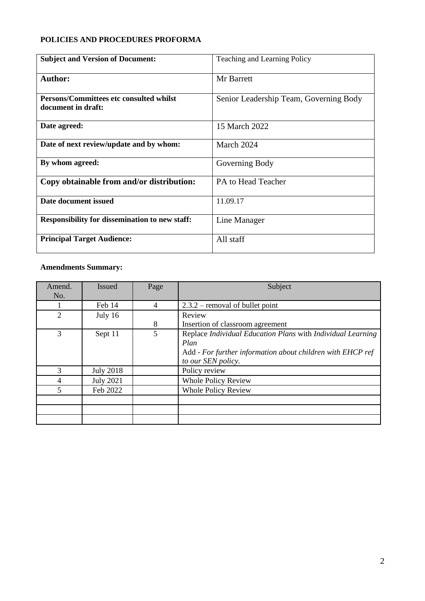## **POLICIES AND PROCEDURES PROFORMA**

| <b>Subject and Version of Document:</b>                       | Teaching and Learning Policy           |
|---------------------------------------------------------------|----------------------------------------|
| <b>Author:</b>                                                | Mr Barrett                             |
| Persons/Committees etc consulted whilst<br>document in draft: | Senior Leadership Team, Governing Body |
| Date agreed:                                                  | 15 March 2022                          |
| Date of next review/update and by whom:                       | March 2024                             |
| By whom agreed:                                               | Governing Body                         |
| Copy obtainable from and/or distribution:                     | PA to Head Teacher                     |
| Date document issued                                          | 11.09.17                               |
| <b>Responsibility for dissemination to new staff:</b>         | Line Manager                           |
| <b>Principal Target Audience:</b>                             | All staff                              |

## **Amendments Summary:**

| Amend.<br>No.  | <b>Issued</b>    | Page | Subject                                                                                                                           |
|----------------|------------------|------|-----------------------------------------------------------------------------------------------------------------------------------|
|                | Feb 14           | 4    | $2.3.2$ – removal of bullet point                                                                                                 |
| $\overline{2}$ | July 16          |      | Review                                                                                                                            |
|                |                  | 8    | Insertion of classroom agreement                                                                                                  |
| 3              | Sept 11          | 5    | Replace Individual Education Plans with Individual Learning<br>Plan<br>Add - For further information about children with EHCP ref |
|                |                  |      | to our SEN policy.                                                                                                                |
| 3              | <b>July 2018</b> |      | Policy review                                                                                                                     |
| 4              | <b>July 2021</b> |      | <b>Whole Policy Review</b>                                                                                                        |
| 5              | Feb 2022         |      | <b>Whole Policy Review</b>                                                                                                        |
|                |                  |      |                                                                                                                                   |
|                |                  |      |                                                                                                                                   |
|                |                  |      |                                                                                                                                   |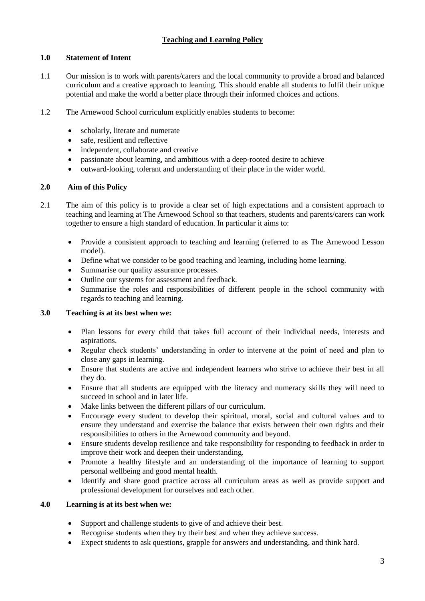## **Teaching and Learning Policy**

## **1.0 Statement of Intent**

- 1.1 Our mission is to work with parents/carers and the local community to provide a broad and balanced curriculum and a creative approach to learning. This should enable all students to fulfil their unique potential and make the world a better place through their informed choices and actions.
- 1.2 The Arnewood School curriculum explicitly enables students to become:
	- scholarly, literate and numerate
	- safe, resilient and reflective
	- independent, collaborate and creative
	- passionate about learning, and ambitious with a deep-rooted desire to achieve
	- outward-looking, tolerant and understanding of their place in the wider world.

## **2.0 Aim of this Policy**

- 2.1 The aim of this policy is to provide a clear set of high expectations and a consistent approach to teaching and learning at The Arnewood School so that teachers, students and parents/carers can work together to ensure a high standard of education. In particular it aims to:
	- Provide a consistent approach to teaching and learning (referred to as The Arnewood Lesson model).
	- Define what we consider to be good teaching and learning, including home learning.
	- Summarise our quality assurance processes.
	- Outline our systems for assessment and feedback.
	- Summarise the roles and responsibilities of different people in the school community with regards to teaching and learning.

## **3.0 Teaching is at its best when we:**

- Plan lessons for every child that takes full account of their individual needs, interests and aspirations.
- Regular check students' understanding in order to intervene at the point of need and plan to close any gaps in learning.
- Ensure that students are active and independent learners who strive to achieve their best in all they do.
- Ensure that all students are equipped with the literacy and numeracy skills they will need to succeed in school and in later life.
- Make links between the different pillars of our curriculum.
- Encourage every student to develop their spiritual, moral, social and cultural values and to ensure they understand and exercise the balance that exists between their own rights and their responsibilities to others in the Arnewood community and beyond.
- Ensure students develop resilience and take responsibility for responding to feedback in order to improve their work and deepen their understanding.
- Promote a healthy lifestyle and an understanding of the importance of learning to support personal wellbeing and good mental health.
- Identify and share good practice across all curriculum areas as well as provide support and professional development for ourselves and each other.

## **4.0 Learning is at its best when we:**

- Support and challenge students to give of and achieve their best.
- Recognise students when they try their best and when they achieve success.
- Expect students to ask questions, grapple for answers and understanding, and think hard.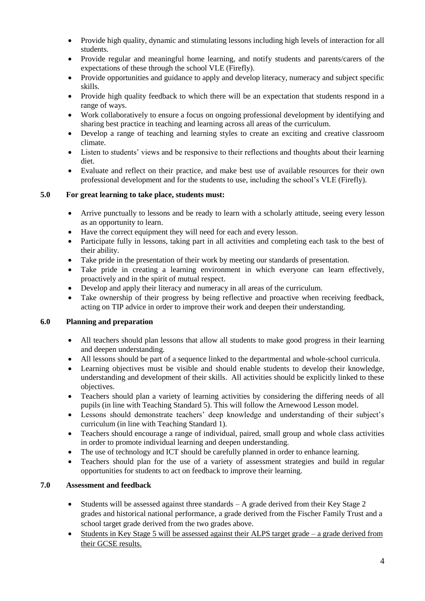- Provide high quality, dynamic and stimulating lessons including high levels of interaction for all students.
- Provide regular and meaningful home learning, and notify students and parents/carers of the expectations of these through the school VLE (Firefly).
- Provide opportunities and guidance to apply and develop literacy, numeracy and subject specific skills.
- Provide high quality feedback to which there will be an expectation that students respond in a range of ways.
- Work collaboratively to ensure a focus on ongoing professional development by identifying and sharing best practice in teaching and learning across all areas of the curriculum.
- Develop a range of teaching and learning styles to create an exciting and creative classroom climate.
- Listen to students' views and be responsive to their reflections and thoughts about their learning diet.
- Evaluate and reflect on their practice, and make best use of available resources for their own professional development and for the students to use, including the school's VLE (Firefly).

## **5.0 For great learning to take place, students must:**

- Arrive punctually to lessons and be ready to learn with a scholarly attitude, seeing every lesson as an opportunity to learn.
- Have the correct equipment they will need for each and every lesson.
- Participate fully in lessons, taking part in all activities and completing each task to the best of their ability.
- Take pride in the presentation of their work by meeting our standards of presentation.
- Take pride in creating a learning environment in which everyone can learn effectively, proactively and in the spirit of mutual respect.
- Develop and apply their literacy and numeracy in all areas of the curriculum.
- Take ownership of their progress by being reflective and proactive when receiving feedback, acting on TIP advice in order to improve their work and deepen their understanding.

## **6.0 Planning and preparation**

- All teachers should plan lessons that allow all students to make good progress in their learning and deepen understanding.
- All lessons should be part of a sequence linked to the departmental and whole-school curricula.
- Learning objectives must be visible and should enable students to develop their knowledge, understanding and development of their skills. All activities should be explicitly linked to these objectives.
- Teachers should plan a variety of learning activities by considering the differing needs of all pupils (in line with Teaching Standard 5). This will follow the Arnewood Lesson model.
- Lessons should demonstrate teachers' deep knowledge and understanding of their subject's curriculum (in line with Teaching Standard 1).
- Teachers should encourage a range of individual, paired, small group and whole class activities in order to promote individual learning and deepen understanding.
- The use of technology and ICT should be carefully planned in order to enhance learning.
- Teachers should plan for the use of a variety of assessment strategies and build in regular opportunities for students to act on feedback to improve their learning.

## **7.0 Assessment and feedback**

- Students will be assessed against three standards  $A$  grade derived from their Key Stage 2 grades and historical national performance, a grade derived from the Fischer Family Trust and a school target grade derived from the two grades above.
- Students in Key Stage 5 will be assessed against their ALPS target grade a grade derived from their GCSE results.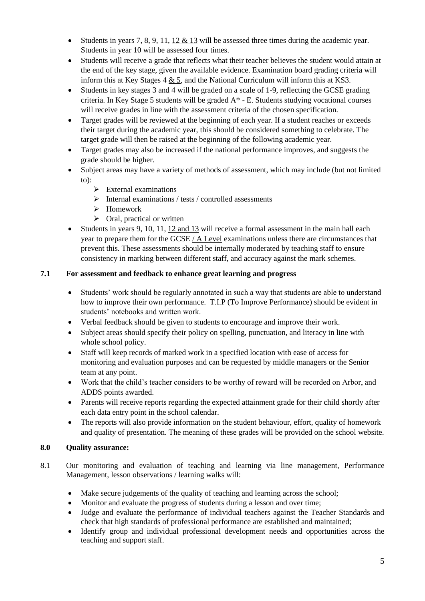- Students in years 7, 8, 9, 11, 12  $\&$  13 will be assessed three times during the academic year. Students in year 10 will be assessed four times.
- Students will receive a grade that reflects what their teacher believes the student would attain at the end of the key stage, given the available evidence. Examination board grading criteria will inform this at Key Stages 4 & 5, and the National Curriculum will inform this at KS3.
- Students in key stages 3 and 4 will be graded on a scale of 1-9, reflecting the GCSE grading criteria. In Key Stage 5 students will be graded  $A^*$  - E. Students studying vocational courses will receive grades in line with the assessment criteria of the chosen specification.
- Target grades will be reviewed at the beginning of each year. If a student reaches or exceeds their target during the academic year, this should be considered something to celebrate. The target grade will then be raised at the beginning of the following academic year.
- Target grades may also be increased if the national performance improves, and suggests the grade should be higher.
- Subject areas may have a variety of methods of assessment, which may include (but not limited to):
	- ➢ External examinations
	- $\triangleright$  Internal examinations / tests / controlled assessments
	- ➢ Homework
	- $\triangleright$  Oral, practical or written
- Students in years 9, 10, 11, 12 and 13 will receive a formal assessment in the main hall each year to prepare them for the GCSE / A Level examinations unless there are circumstances that prevent this. These assessments should be internally moderated by teaching staff to ensure consistency in marking between different staff, and accuracy against the mark schemes.

## **7.1 For assessment and feedback to enhance great learning and progress**

- Students' work should be regularly annotated in such a way that students are able to understand how to improve their own performance. T.I.P (To Improve Performance) should be evident in students' notebooks and written work.
- Verbal feedback should be given to students to encourage and improve their work.
- Subject areas should specify their policy on spelling, punctuation, and literacy in line with whole school policy.
- Staff will keep records of marked work in a specified location with ease of access for monitoring and evaluation purposes and can be requested by middle managers or the Senior team at any point.
- Work that the child's teacher considers to be worthy of reward will be recorded on Arbor, and ADDS points awarded.
- Parents will receive reports regarding the expected attainment grade for their child shortly after each data entry point in the school calendar.
- The reports will also provide information on the student behaviour, effort, quality of homework and quality of presentation. The meaning of these grades will be provided on the school website.

## **8.0 Quality assurance:**

- 8.1 Our monitoring and evaluation of teaching and learning via line management, Performance Management, lesson observations / learning walks will:
	- Make secure judgements of the quality of teaching and learning across the school;
	- Monitor and evaluate the progress of students during a lesson and over time;
	- Judge and evaluate the performance of individual teachers against the Teacher Standards and check that high standards of professional performance are established and maintained;
	- Identify group and individual professional development needs and opportunities across the teaching and support staff.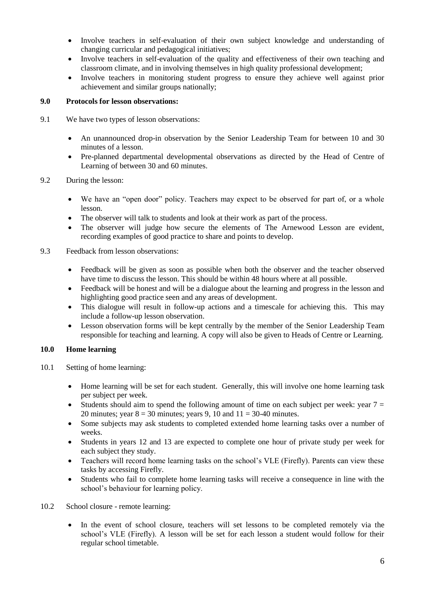- Involve teachers in self-evaluation of their own subject knowledge and understanding of changing curricular and pedagogical initiatives;
- Involve teachers in self-evaluation of the quality and effectiveness of their own teaching and classroom climate, and in involving themselves in high quality professional development;
- Involve teachers in monitoring student progress to ensure they achieve well against prior achievement and similar groups nationally;

## **9.0 Protocols for lesson observations:**

- 9.1 We have two types of lesson observations:
	- An unannounced drop-in observation by the Senior Leadership Team for between 10 and 30 minutes of a lesson.
	- Pre-planned departmental developmental observations as directed by the Head of Centre of Learning of between 30 and 60 minutes.

## 9.2 During the lesson:

- We have an "open door" policy. Teachers may expect to be observed for part of, or a whole lesson.
- The observer will talk to students and look at their work as part of the process.
- The observer will judge how secure the elements of The Arnewood Lesson are evident, recording examples of good practice to share and points to develop.

#### 9.3 Feedback from lesson observations:

- Feedback will be given as soon as possible when both the observer and the teacher observed have time to discuss the lesson. This should be within 48 hours where at all possible.
- Feedback will be honest and will be a dialogue about the learning and progress in the lesson and highlighting good practice seen and any areas of development.
- This dialogue will result in follow-up actions and a timescale for achieving this. This may include a follow-up lesson observation.
- Lesson observation forms will be kept centrally by the member of the Senior Leadership Team responsible for teaching and learning. A copy will also be given to Heads of Centre or Learning.

#### **10.0 Home learning**

- 10.1 Setting of home learning:
	- Home learning will be set for each student. Generally, this will involve one home learning task per subject per week.
	- Students should aim to spend the following amount of time on each subject per week: year  $7 =$ 20 minutes; year  $8 = 30$  minutes; years 9, 10 and  $11 = 30-40$  minutes.
	- Some subjects may ask students to completed extended home learning tasks over a number of weeks.
	- Students in years 12 and 13 are expected to complete one hour of private study per week for each subject they study.
	- Teachers will record home learning tasks on the school's VLE (Firefly). Parents can view these tasks by accessing Firefly.
	- Students who fail to complete home learning tasks will receive a consequence in line with the school's behaviour for learning policy.
- 10.2 School closure remote learning:
	- In the event of school closure, teachers will set lessons to be completed remotely via the school's VLE (Firefly). A lesson will be set for each lesson a student would follow for their regular school timetable.